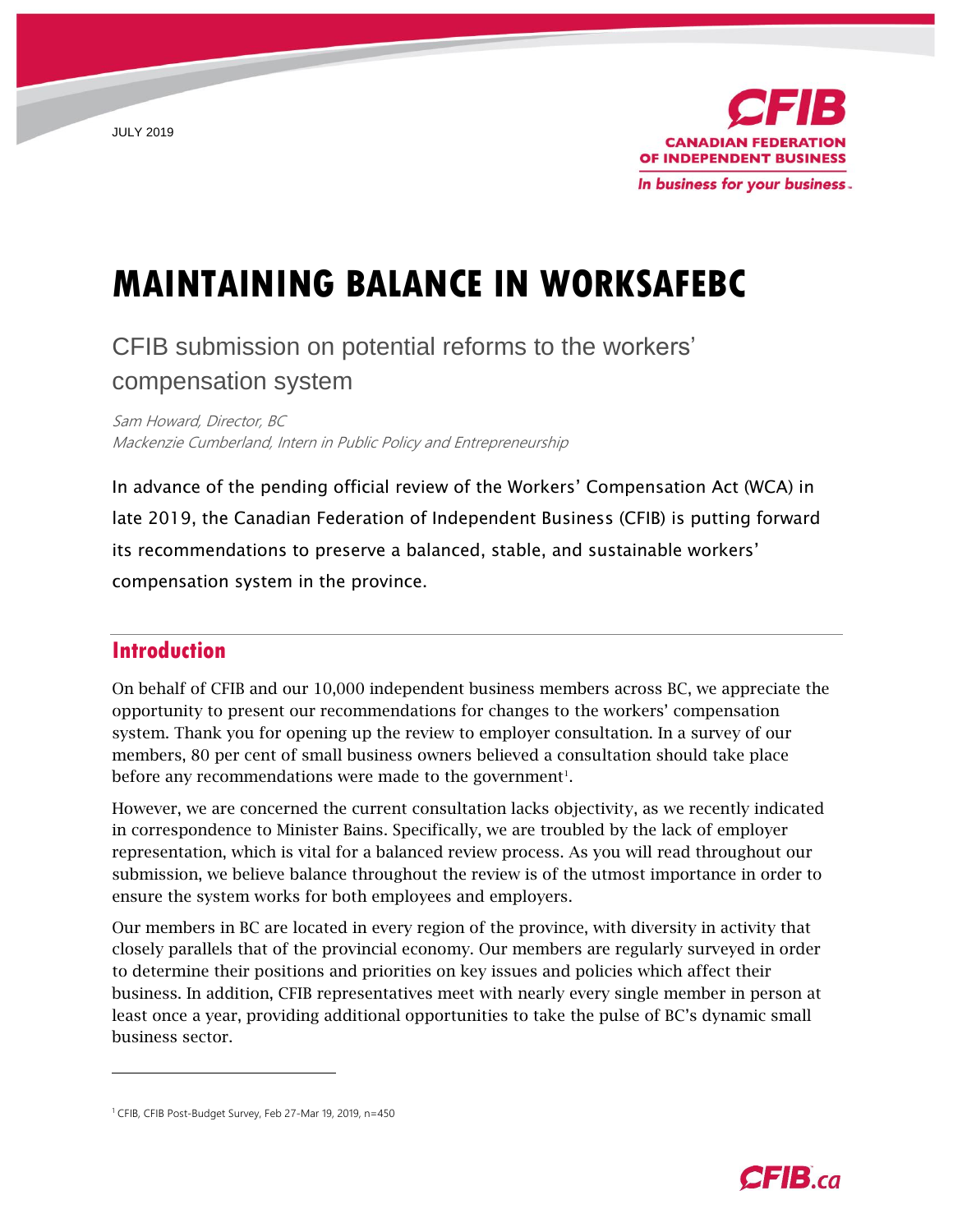JULY 2019



# **MAINTAINING BALANCE IN WORKSAFEBC**

## CFIB submission on potential reforms to the workers' compensation system

Sam Howard, Director, BC Mackenzie Cumberland, Intern in Public Policy and Entrepreneurship

In advance of the pending official review of the Workers' Compensation Act (WCA) in late 2019, the Canadian Federation of Independent Business (CFIB) is putting forward its recommendations to preserve a balanced, stable, and sustainable workers' compensation system in the province.

## **Introduction**

 $\overline{a}$ 

On behalf of CFIB and our 10,000 independent business members across BC, we appreciate the opportunity to present our recommendations for changes to the workers' compensation system. Thank you for opening up the review to employer consultation. In a survey of our members, 80 per cent of small business owners believed a consultation should take place before any recommendations were made to the government<sup>1</sup>.

However, we are concerned the current consultation lacks objectivity, as we recently indicated in correspondence to Minister Bains. Specifically, we are troubled by the lack of employer representation, which is vital for a balanced review process. As you will read throughout our submission, we believe balance throughout the review is of the utmost importance in order to ensure the system works for both employees and employers.

Our members in BC are located in every region of the province, with diversity in activity that closely parallels that of the provincial economy. Our members are regularly surveyed in order to determine their positions and priorities on key issues and policies which affect their business. In addition, CFIB representatives meet with nearly every single member in person at least once a year, providing additional opportunities to take the pulse of BC's dynamic small business sector.



<sup>&</sup>lt;sup>1</sup> CFIB, CFIB Post-Budget Survey, Feb 27-Mar 19, 2019, n=450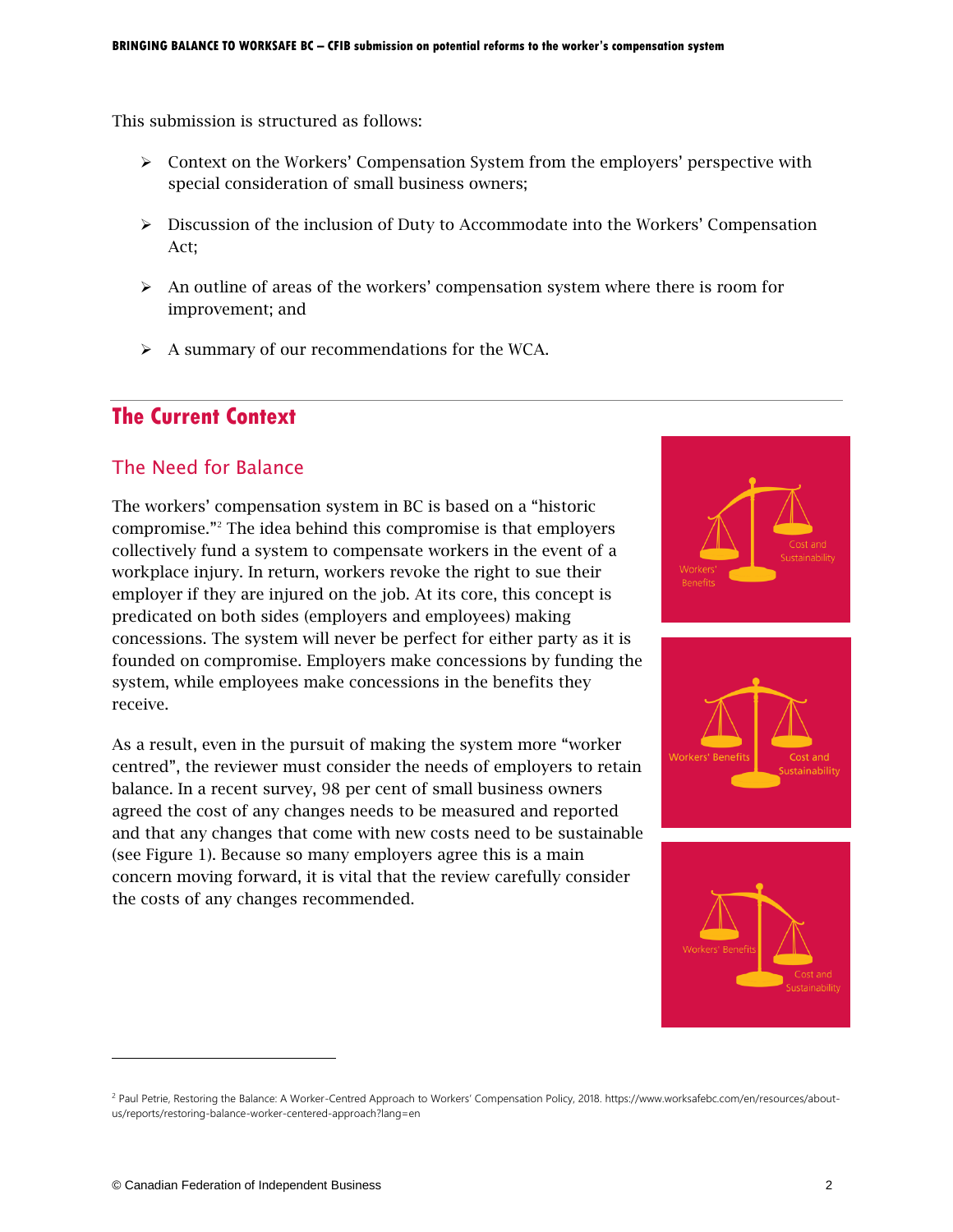This submission is structured as follows:

- > Context on the Workers' Compensation System from the employers' perspective with special consideration of small business owners;
- $\triangleright$  Discussion of the inclusion of Duty to Accommodate into the Workers' Compensation Act;
- $\triangleright$  An outline of areas of the workers' compensation system where there is room for improvement; and
- A summary of our recommendations for the WCA.

## **The Current Context**

## The Need for Balance

The workers' compensation system in BC is based on a "historic compromise."<sup>2</sup> The idea behind this compromise is that employers collectively fund a system to compensate workers in the event of a workplace injury. In return, workers revoke the right to sue their employer if they are injured on the job. At its core, this concept is predicated on both sides (employers and employees) making concessions. The system will never be perfect for either party as it is founded on compromise. Employers make concessions by funding the system, while employees make concessions in the benefits they receive.

As a result, even in the pursuit of making the system more "worker centred", the reviewer must consider the needs of employers to retain balance. In a recent survey, 98 per cent of small business owners agreed the cost of any changes needs to be measured and reported and that any changes that come with new costs need to be sustainable (see Figure 1). Because so many employers agree this is a main concern moving forward, it is vital that the review carefully consider the costs of any changes recommended.







<sup>&</sup>lt;sup>2</sup> Paul Petrie, Restoring the Balance: A Worker-Centred Approach to Workers' Compensation Policy, 2018. https://www.worksafebc.com/en/resources/aboutus/reports/restoring-balance-worker-centered-approach?lang=en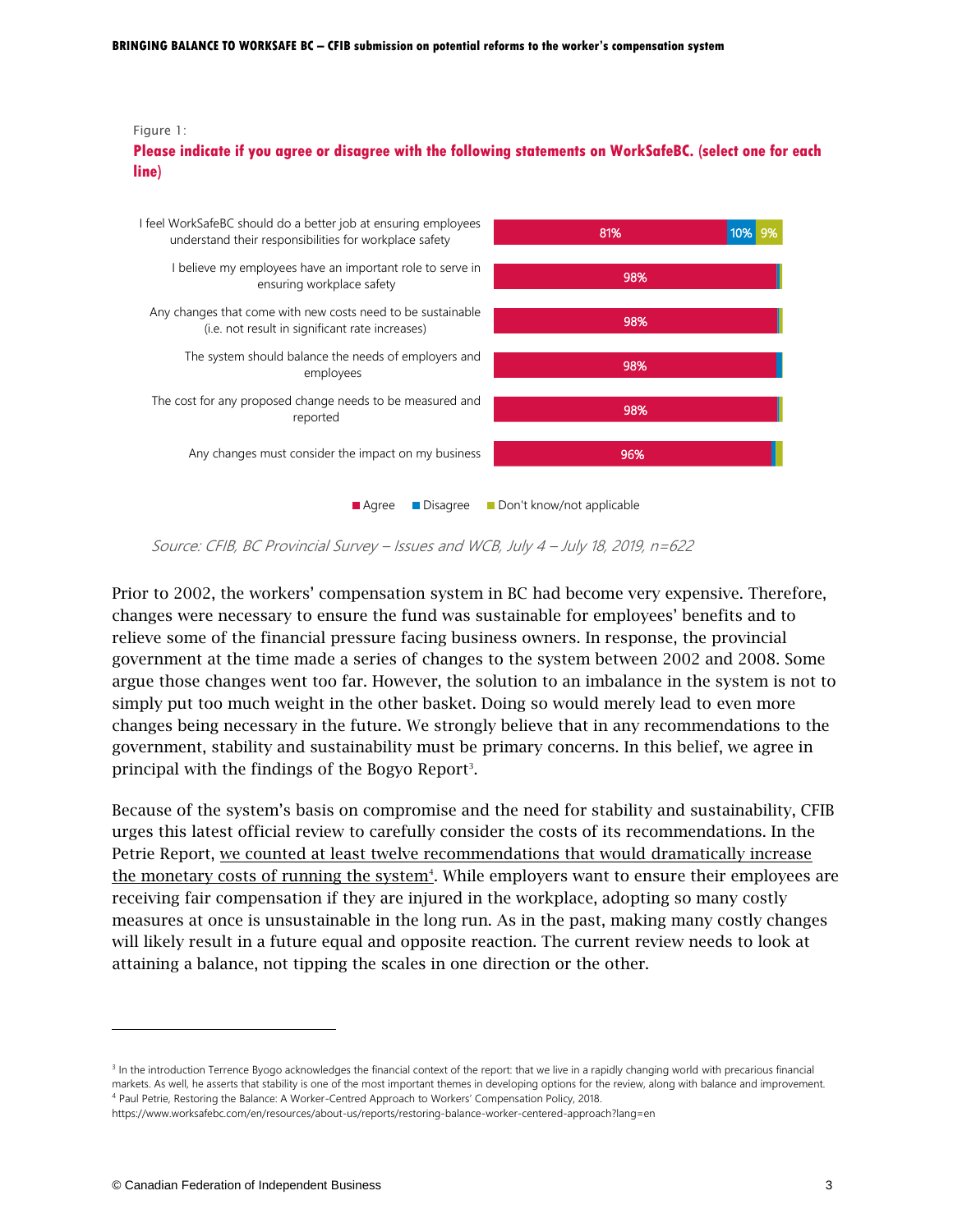#### Figure 1:

**Please indicate if you agree or disagree with the following statements on WorkSafeBC. (select one for each line)**



Source: CFIB, BC Provincial Survey – Issues and WCB, July 4 – July 18, 2019, n=622

Prior to 2002, the workers' compensation system in BC had become very expensive. Therefore, changes were necessary to ensure the fund was sustainable for employees' benefits and to relieve some of the financial pressure facing business owners. In response, the provincial government at the time made a series of changes to the system between 2002 and 2008. Some argue those changes went too far. However, the solution to an imbalance in the system is not to simply put too much weight in the other basket. Doing so would merely lead to even more changes being necessary in the future. We strongly believe that in any recommendations to the government, stability and sustainability must be primary concerns. In this belief, we agree in principal with the findings of the Bogyo Report<sup>3</sup>.

Because of the system's basis on compromise and the need for stability and sustainability, CFIB urges this latest official review to carefully consider the costs of its recommendations. In the Petrie Report, we counted at least twelve recommendations that would dramatically increase the monetary costs of running the system<sup>4</sup>. While employers want to ensure their employees are receiving fair compensation if they are injured in the workplace, adopting so many costly measures at once is unsustainable in the long run. As in the past, making many costly changes will likely result in a future equal and opposite reaction. The current review needs to look at attaining a balance, not tipping the scales in one direction or the other.

 $\overline{a}$ 

<sup>&</sup>lt;sup>3</sup> In the introduction Terrence Byogo acknowledges the financial context of the report: that we live in a rapidly changing world with precarious financial markets. As well, he asserts that stability is one of the most important themes in developing options for the review, along with balance and improvement. <sup>4</sup> Paul Petrie, Restoring the Balance: A Worker-Centred Approach to Workers' Compensation Policy, 2018.

https://www.worksafebc.com/en/resources/about-us/reports/restoring-balance-worker-centered-approach?lang=en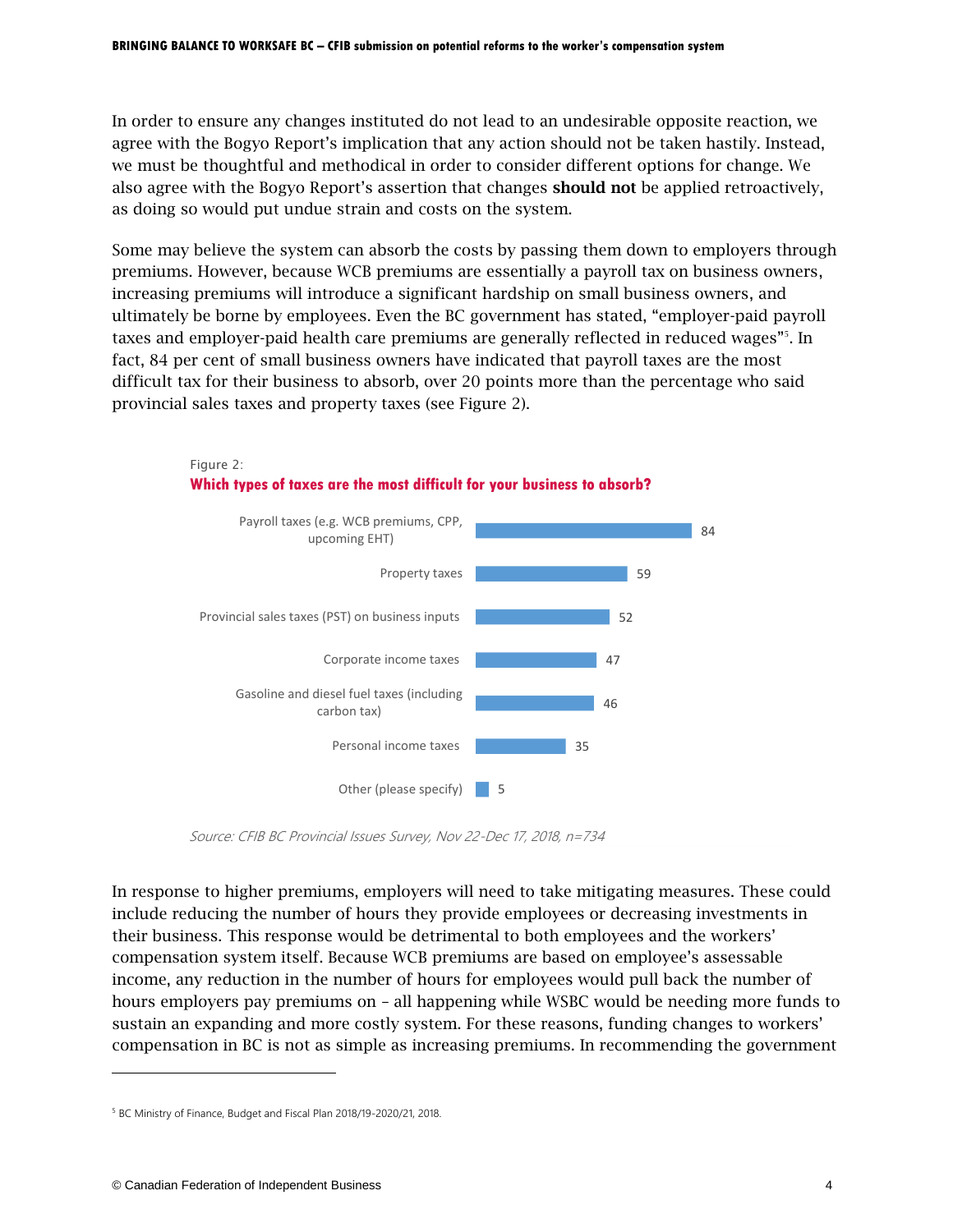In order to ensure any changes instituted do not lead to an undesirable opposite reaction, we agree with the Bogyo Report's implication that any action should not be taken hastily. Instead, we must be thoughtful and methodical in order to consider different options for change. We also agree with the Bogyo Report's assertion that changes should not be applied retroactively, as doing so would put undue strain and costs on the system.

Some may believe the system can absorb the costs by passing them down to employers through premiums. However, because WCB premiums are essentially a payroll tax on business owners, increasing premiums will introduce a significant hardship on small business owners, and ultimately be borne by employees. Even the BC government has stated, "employer-paid payroll taxes and employer-paid health care premiums are generally reflected in reduced wages"<sup>5</sup>. In fact, 84 per cent of small business owners have indicated that payroll taxes are the most difficult tax for their business to absorb, over 20 points more than the percentage who said provincial sales taxes and property taxes (see Figure 2).



Source: CFIB BC Provincial Issues Survey, Nov 22-Dec 17, 2018, n=734

In response to higher premiums, employers will need to take mitigating measures. These could include reducing the number of hours they provide employees or decreasing investments in their business. This response would be detrimental to both employees and the workers' compensation system itself. Because WCB premiums are based on employee's assessable income, any reduction in the number of hours for employees would pull back the number of hours employers pay premiums on – all happening while WSBC would be needing more funds to sustain an expanding and more costly system. For these reasons, funding changes to workers' compensation in BC is not as simple as increasing premiums. In recommending the government

Figure 2:

 $\overline{a}$ 

<sup>5</sup> BC Ministry of Finance, Budget and Fiscal Plan 2018/19-2020/21, 2018.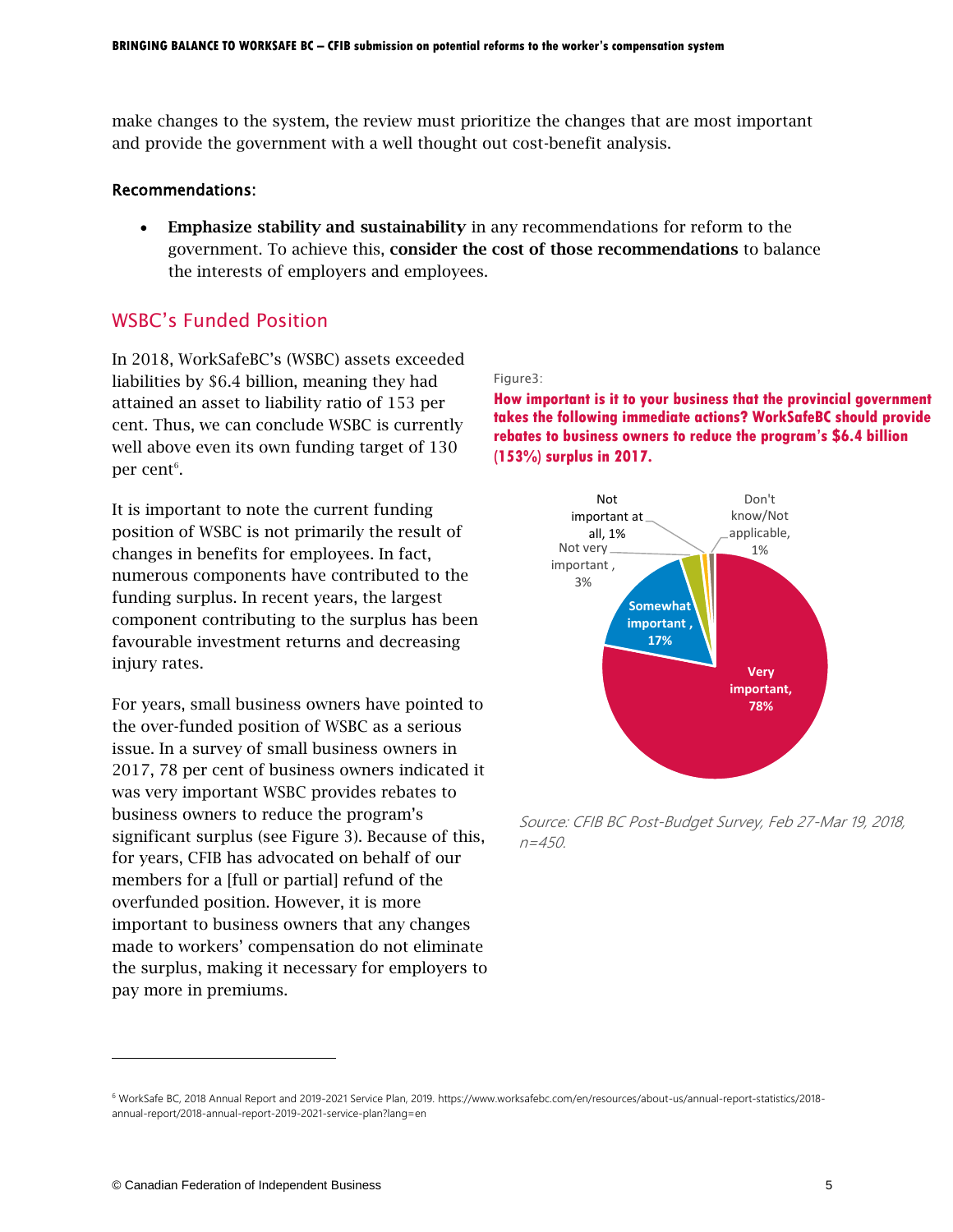make changes to the system, the review must prioritize the changes that are most important and provide the government with a well thought out cost-benefit analysis.

#### Recommendations:

 Emphasize stability and sustainability in any recommendations for reform to the government. To achieve this, consider the cost of those recommendations to balance the interests of employers and employees.

## WSBC's Funded Position

In 2018, WorkSafeBC's (WSBC) assets exceeded liabilities by \$6.4 billion, meaning they had attained an asset to liability ratio of 153 per cent. Thus, we can conclude WSBC is currently well above even its own funding target of 130 per cent $^6$ .

It is important to note the current funding position of WSBC is not primarily the result of changes in benefits for employees. In fact, numerous components have contributed to the funding surplus. In recent years, the largest component contributing to the surplus has been favourable investment returns and decreasing injury rates.

For years, small business owners have pointed to the over-funded position of WSBC as a serious issue. In a survey of small business owners in 2017, 78 per cent of business owners indicated it was very important WSBC provides rebates to business owners to reduce the program's significant surplus (see Figure 3). Because of this, for years, CFIB has advocated on behalf of our members for a [full or partial] refund of the overfunded position. However, it is more important to business owners that any changes made to workers' compensation do not eliminate the surplus, making it necessary for employers to pay more in premiums.

#### Figure3:

**How important is it to your business that the provincial government takes the following immediate actions? WorkSafeBC should provide rebates to business owners to reduce the program's \$6.4 billion (153%) surplus in 2017.**



Source: CFIB BC Post-Budget Survey, Feb 27-Mar 19, 2018,  $n = 450$ .

<sup>6</sup> WorkSafe BC, 2018 Annual Report and 2019-2021 Service Plan, 2019. https://www.worksafebc.com/en/resources/about-us/annual-report-statistics/2018 annual-report/2018-annual-report-2019-2021-service-plan?lang=en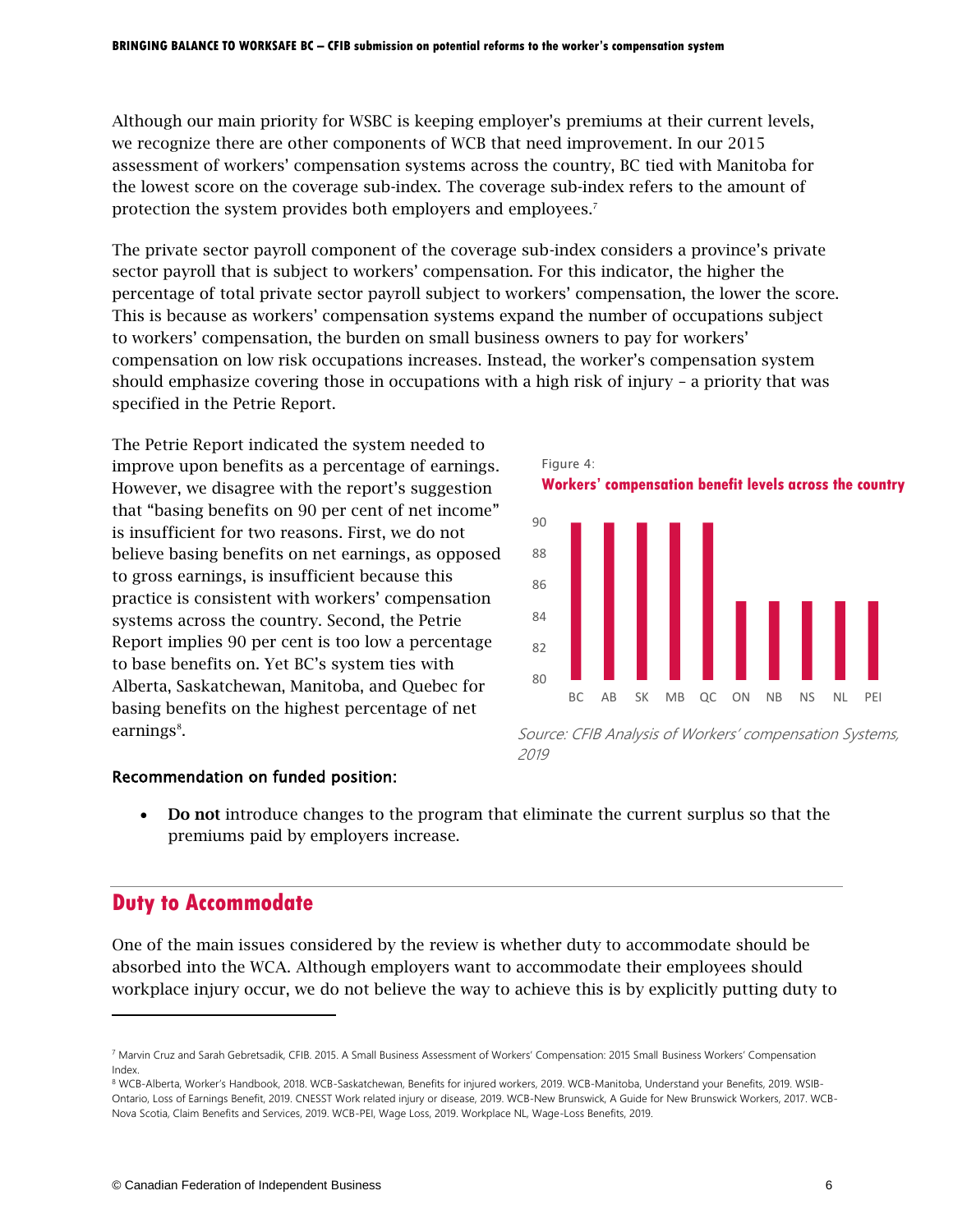Although our main priority for WSBC is keeping employer's premiums at their current levels, we recognize there are other components of WCB that need improvement. In our 2015 assessment of workers' compensation systems across the country, BC tied with Manitoba for the lowest score on the coverage sub-index. The coverage sub-index refers to the amount of protection the system provides both employers and employees. 7

The private sector payroll component of the coverage sub-index considers a province's private sector payroll that is subject to workers' compensation. For this indicator, the higher the percentage of total private sector payroll subject to workers' compensation, the lower the score. This is because as workers' compensation systems expand the number of occupations subject to workers' compensation, the burden on small business owners to pay for workers' compensation on low risk occupations increases. Instead, the worker's compensation system should emphasize covering those in occupations with a high risk of injury – a priority that was specified in the Petrie Report.

The Petrie Report indicated the system needed to improve upon benefits as a percentage of earnings. However, we disagree with the report's suggestion that "basing benefits on 90 per cent of net income" is insufficient for two reasons. First, we do not believe basing benefits on net earnings, as opposed to gross earnings, is insufficient because this practice is consistent with workers' compensation systems across the country. Second, the Petrie Report implies 90 per cent is too low a percentage to base benefits on. Yet BC's system ties with Alberta, Saskatchewan, Manitoba, and Quebec for basing benefits on the highest percentage of net earnings<sup>8</sup>.





Source: CFIB Analysis of Workers' compensation Systems, 2019

### Recommendation on funded position:

 Do not introduce changes to the program that eliminate the current surplus so that the premiums paid by employers increase.

## **Duty to Accommodate**

 $\overline{a}$ 

One of the main issues considered by the review is whether duty to accommodate should be absorbed into the WCA. Although employers want to accommodate their employees should workplace injury occur, we do not believe the way to achieve this is by explicitly putting duty to

<sup>7</sup> Marvin Cruz and Sarah Gebretsadik, CFIB. 2015. A Small Business Assessment of Workers' Compensation: 2015 Small Business Workers' Compensation Index.

<sup>8</sup> WCB-Alberta, Worker's Handbook, 2018. WCB-Saskatchewan, Benefits for injured workers, 2019. WCB-Manitoba, Understand your Benefits, 2019. WSIB-Ontario, Loss of Earnings Benefit, 2019. CNESST Work related injury or disease, 2019. WCB-New Brunswick, A Guide for New Brunswick Workers, 2017. WCB-Nova Scotia, Claim Benefits and Services, 2019. WCB-PEI, Wage Loss, 2019. Workplace NL, Wage-Loss Benefits, 2019.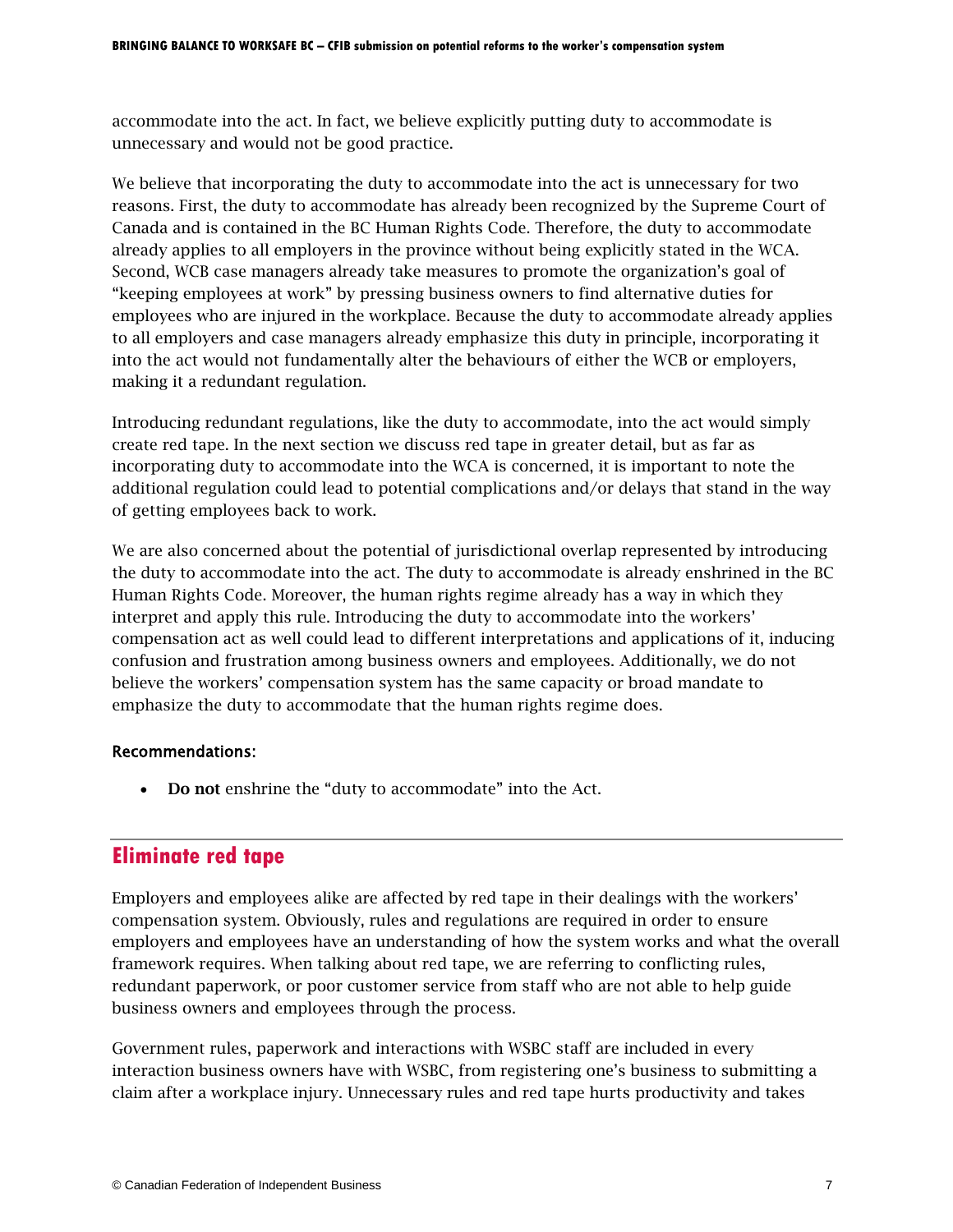accommodate into the act. In fact, we believe explicitly putting duty to accommodate is unnecessary and would not be good practice.

We believe that incorporating the duty to accommodate into the act is unnecessary for two reasons. First, the duty to accommodate has already been recognized by the Supreme Court of Canada and is contained in the BC Human Rights Code. Therefore, the duty to accommodate already applies to all employers in the province without being explicitly stated in the WCA. Second, WCB case managers already take measures to promote the organization's goal of "keeping employees at work" by pressing business owners to find alternative duties for employees who are injured in the workplace. Because the duty to accommodate already applies to all employers and case managers already emphasize this duty in principle, incorporating it into the act would not fundamentally alter the behaviours of either the WCB or employers, making it a redundant regulation.

Introducing redundant regulations, like the duty to accommodate, into the act would simply create red tape. In the next section we discuss red tape in greater detail, but as far as incorporating duty to accommodate into the WCA is concerned, it is important to note the additional regulation could lead to potential complications and/or delays that stand in the way of getting employees back to work.

We are also concerned about the potential of jurisdictional overlap represented by introducing the duty to accommodate into the act. The duty to accommodate is already enshrined in the BC Human Rights Code. Moreover, the human rights regime already has a way in which they interpret and apply this rule. Introducing the duty to accommodate into the workers' compensation act as well could lead to different interpretations and applications of it, inducing confusion and frustration among business owners and employees. Additionally, we do not believe the workers' compensation system has the same capacity or broad mandate to emphasize the duty to accommodate that the human rights regime does.

#### Recommendations:

• Do not enshrine the "duty to accommodate" into the Act.

## **Eliminate red tape**

Employers and employees alike are affected by red tape in their dealings with the workers' compensation system. Obviously, rules and regulations are required in order to ensure employers and employees have an understanding of how the system works and what the overall framework requires. When talking about red tape, we are referring to conflicting rules, redundant paperwork, or poor customer service from staff who are not able to help guide business owners and employees through the process.

Government rules, paperwork and interactions with WSBC staff are included in every interaction business owners have with WSBC, from registering one's business to submitting a claim after a workplace injury. Unnecessary rules and red tape hurts productivity and takes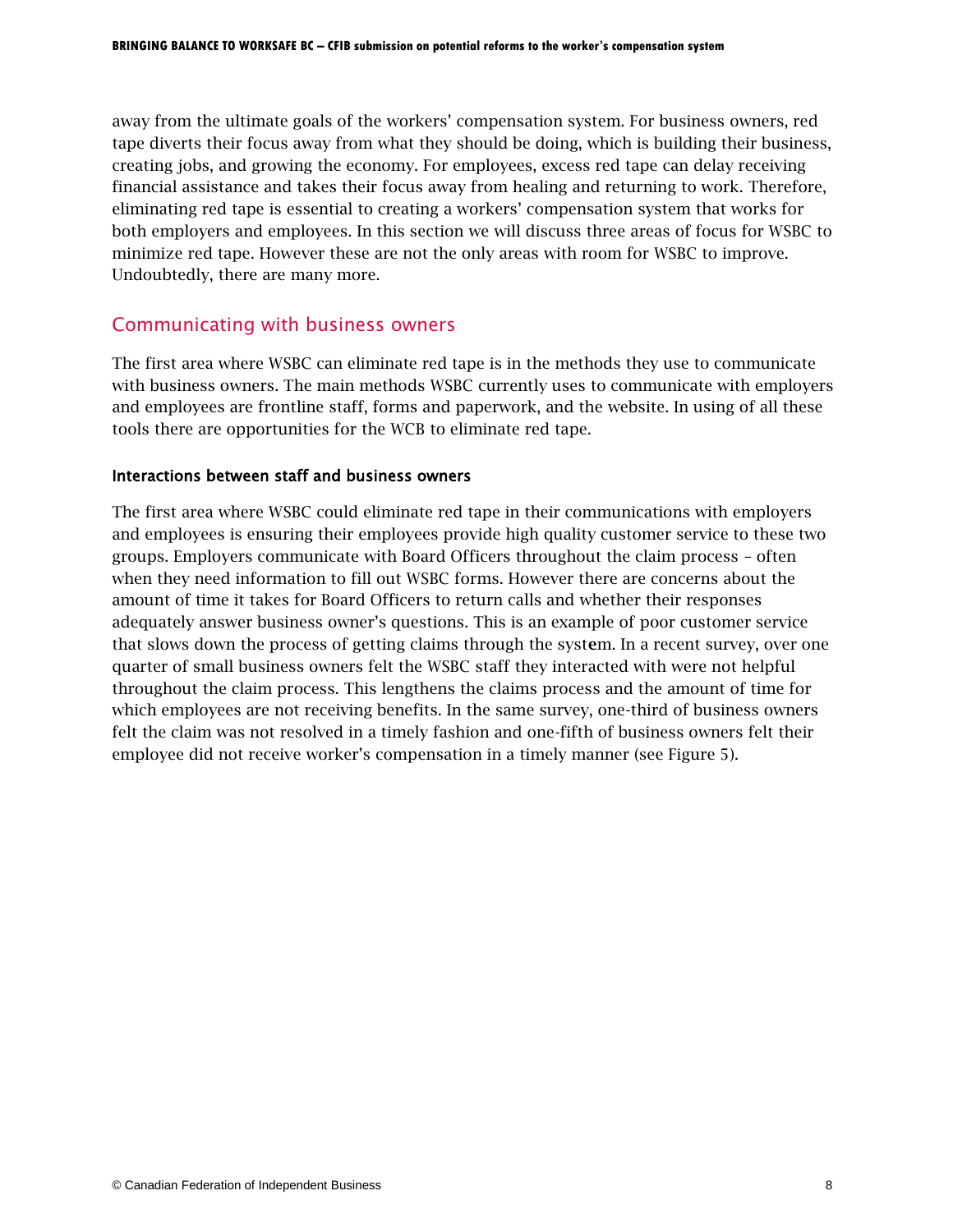away from the ultimate goals of the workers' compensation system. For business owners, red tape diverts their focus away from what they should be doing, which is building their business, creating jobs, and growing the economy. For employees, excess red tape can delay receiving financial assistance and takes their focus away from healing and returning to work. Therefore, eliminating red tape is essential to creating a workers' compensation system that works for both employers and employees. In this section we will discuss three areas of focus for WSBC to minimize red tape. However these are not the only areas with room for WSBC to improve. Undoubtedly, there are many more.

## Communicating with business owners

The first area where WSBC can eliminate red tape is in the methods they use to communicate with business owners. The main methods WSBC currently uses to communicate with employers and employees are frontline staff, forms and paperwork, and the website. In using of all these tools there are opportunities for the WCB to eliminate red tape.

### Interactions between staff and business owners

The first area where WSBC could eliminate red tape in their communications with employers and employees is ensuring their employees provide high quality customer service to these two groups. Employers communicate with Board Officers throughout the claim process – often when they need information to fill out WSBC forms. However there are concerns about the amount of time it takes for Board Officers to return calls and whether their responses adequately answer business owner's questions. This is an example of poor customer service that slows down the process of getting claims through the system. In a recent survey, over one quarter of small business owners felt the WSBC staff they interacted with were not helpful throughout the claim process. This lengthens the claims process and the amount of time for which employees are not receiving benefits. In the same survey, one-third of business owners felt the claim was not resolved in a timely fashion and one-fifth of business owners felt their employee did not receive worker's compensation in a timely manner (see Figure 5).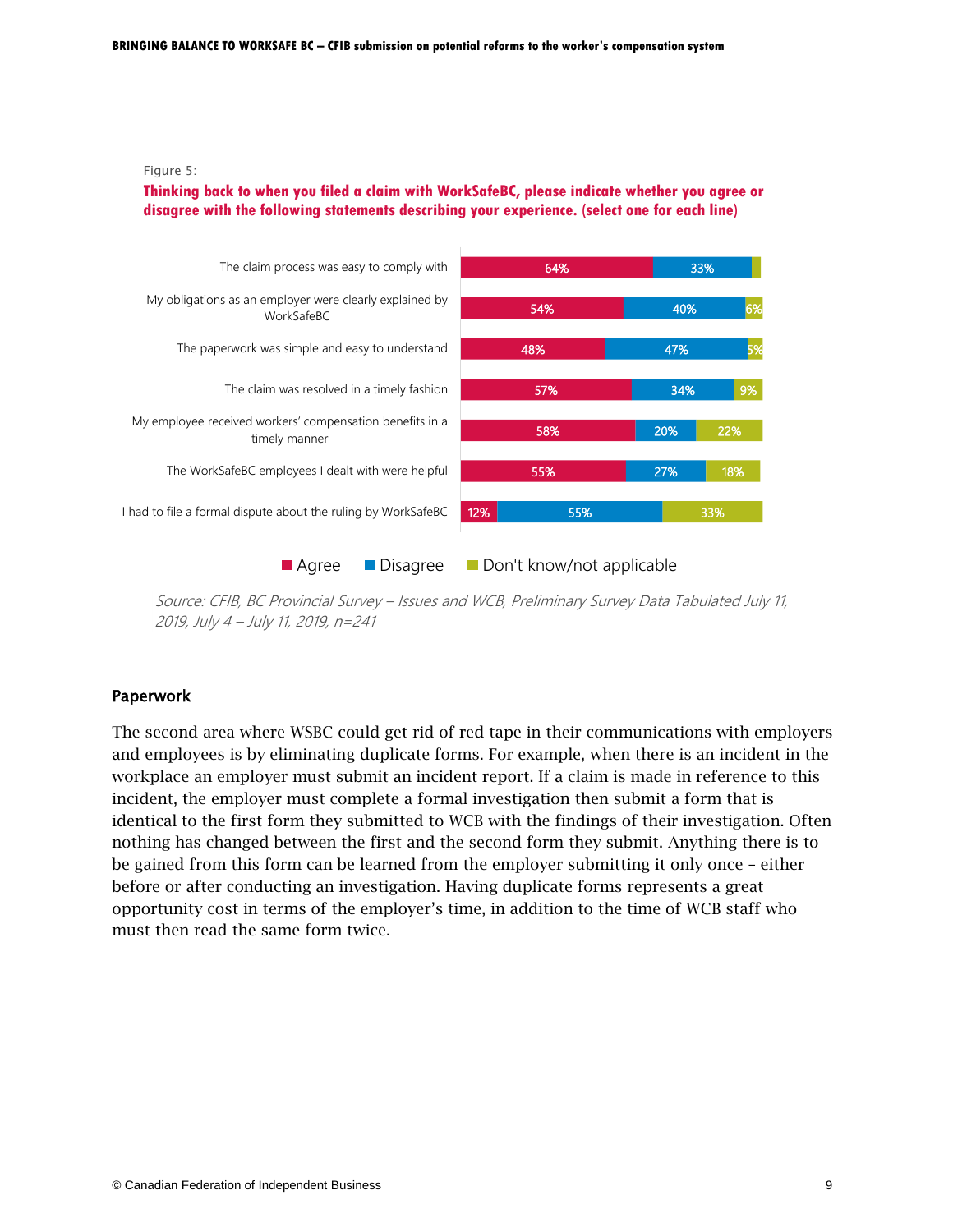

#### **Thinking back to when you filed a claim with WorkSafeBC, please indicate whether you agree or disagree with the following statements describing your experience. (select one for each line)**



Source: CFIB, BC Provincial Survey – Issues and WCB, Preliminary Survey Data Tabulated July 11, 2019, July 4 – July 11, 2019, n=241

#### Paperwork

The second area where WSBC could get rid of red tape in their communications with employers and employees is by eliminating duplicate forms. For example, when there is an incident in the workplace an employer must submit an incident report. If a claim is made in reference to this incident, the employer must complete a formal investigation then submit a form that is identical to the first form they submitted to WCB with the findings of their investigation. Often nothing has changed between the first and the second form they submit. Anything there is to be gained from this form can be learned from the employer submitting it only once – either before or after conducting an investigation. Having duplicate forms represents a great opportunity cost in terms of the employer's time, in addition to the time of WCB staff who must then read the same form twice.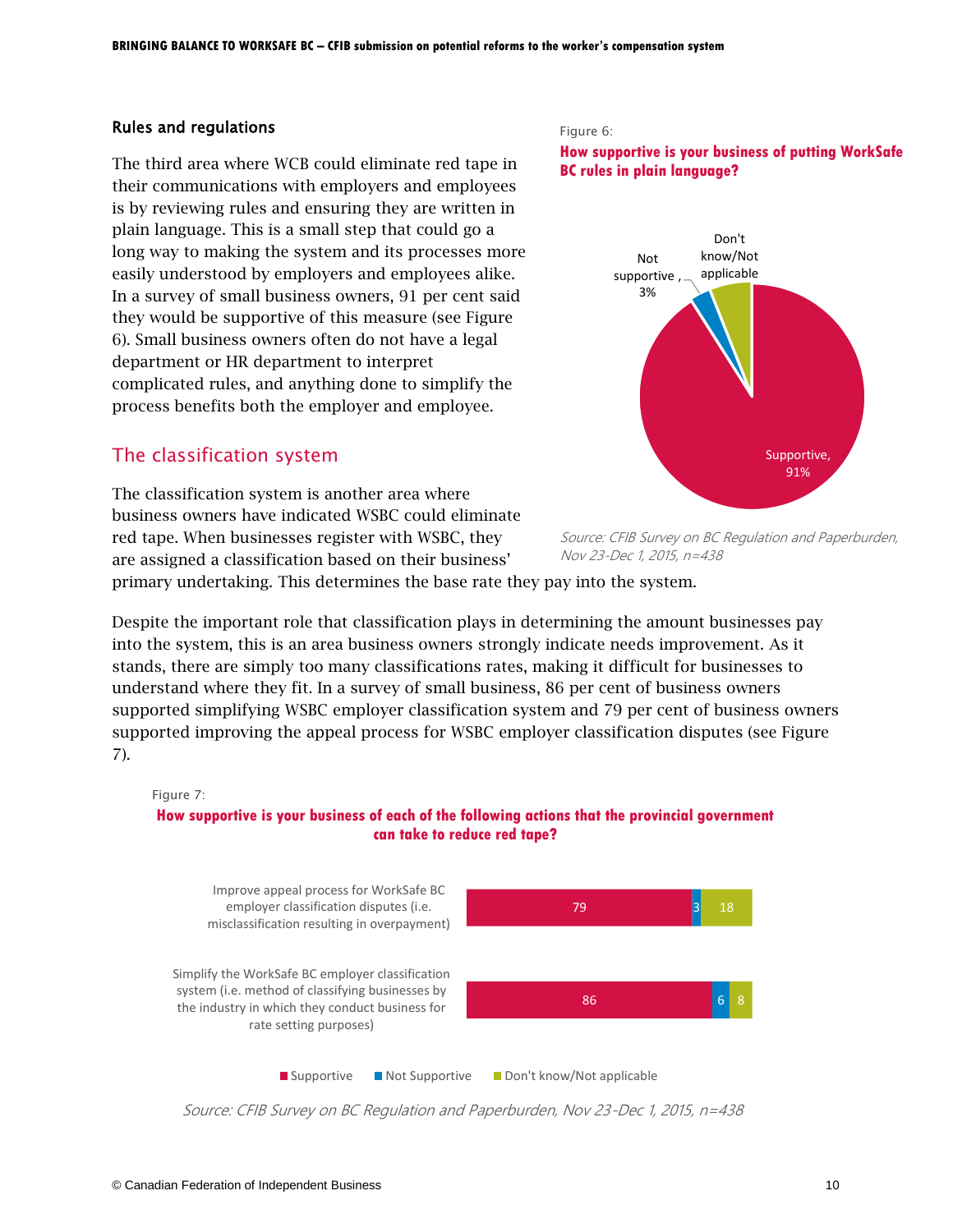#### Rules and regulations

The third area where WCB could eliminate red tape in their communications with employers and employees is by reviewing rules and ensuring they are written in plain language. This is a small step that could go a long way to making the system and its processes more easily understood by employers and employees alike. In a survey of small business owners, 91 per cent said they would be supportive of this measure (see Figure 6). Small business owners often do not have a legal department or HR department to interpret complicated rules, and anything done to simplify the process benefits both the employer and employee.

## The classification system

The classification system is another area where business owners have indicated WSBC could eliminate red tape. When businesses register with WSBC, they are assigned a classification based on their business'



**How supportive is your business of putting WorkSafe BC rules in plain language?**





primary undertaking. This determines the base rate they pay into the system.

Despite the important role that classification plays in determining the amount businesses pay into the system, this is an area business owners strongly indicate needs improvement. As it stands, there are simply too many classifications rates, making it difficult for businesses to understand where they fit. In a survey of small business, 86 per cent of business owners supported simplifying WSBC employer classification system and 79 per cent of business owners supported improving the appeal process for WSBC employer classification disputes (see Figure 7).



Source: CFIB Survey on BC Regulation and Paperburden, Nov 23-Dec 1, 2015, n=438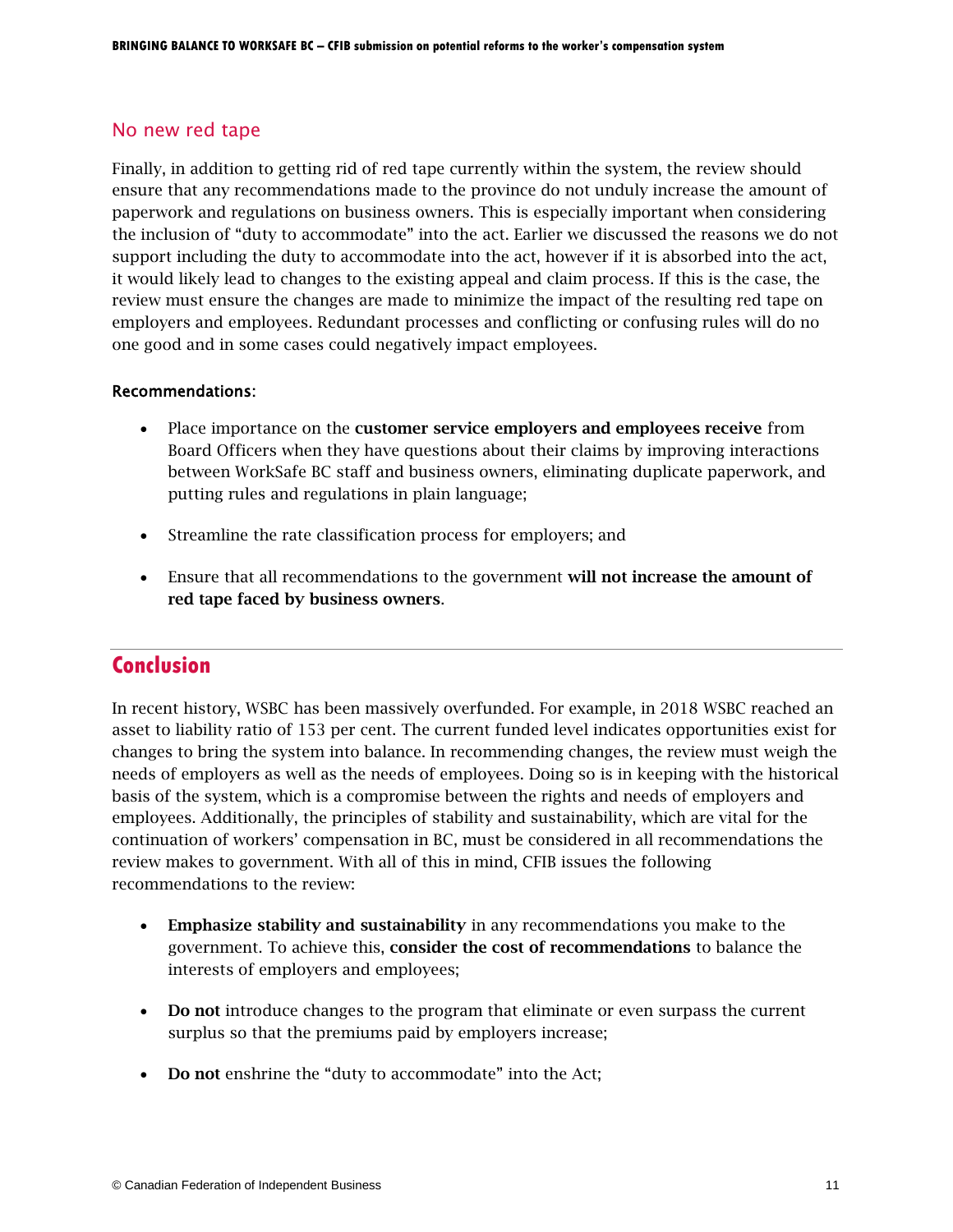## No new red tape

Finally, in addition to getting rid of red tape currently within the system, the review should ensure that any recommendations made to the province do not unduly increase the amount of paperwork and regulations on business owners. This is especially important when considering the inclusion of "duty to accommodate" into the act. Earlier we discussed the reasons we do not support including the duty to accommodate into the act, however if it is absorbed into the act, it would likely lead to changes to the existing appeal and claim process. If this is the case, the review must ensure the changes are made to minimize the impact of the resulting red tape on employers and employees. Redundant processes and conflicting or confusing rules will do no one good and in some cases could negatively impact employees.

### Recommendations:

- Place importance on the customer service employers and employees receive from Board Officers when they have questions about their claims by improving interactions between WorkSafe BC staff and business owners, eliminating duplicate paperwork, and putting rules and regulations in plain language;
- Streamline the rate classification process for employers; and
- Ensure that all recommendations to the government will not increase the amount of red tape faced by business owners.

## **Conclusion**

In recent history, WSBC has been massively overfunded. For example, in 2018 WSBC reached an asset to liability ratio of 153 per cent. The current funded level indicates opportunities exist for changes to bring the system into balance. In recommending changes, the review must weigh the needs of employers as well as the needs of employees. Doing so is in keeping with the historical basis of the system, which is a compromise between the rights and needs of employers and employees. Additionally, the principles of stability and sustainability, which are vital for the continuation of workers' compensation in BC, must be considered in all recommendations the review makes to government. With all of this in mind, CFIB issues the following recommendations to the review:

- Emphasize stability and sustainability in any recommendations you make to the government. To achieve this, consider the cost of recommendations to balance the interests of employers and employees;
- Do not introduce changes to the program that eliminate or even surpass the current surplus so that the premiums paid by employers increase;
- Do not enshrine the "duty to accommodate" into the Act;